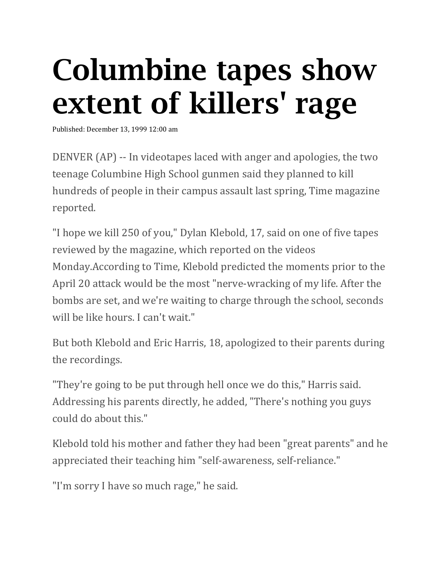## Columbine tapes show extent of killers' rage

Published: December 13, 1999 12:00 am

DENVER (AP) -- In videotapes laced with anger and apologies, the two teenage Columbine High School gunmen said they planned to kill hundreds of people in their campus assault last spring, Time magazine reported.

"I hope we kill 250 of you," Dylan Klebold, 17, said on one of five tapes reviewed by the magazine, which reported on the videos Monday.According to Time, Klebold predicted the moments prior to the April 20 attack would be the most "nerve-wracking of my life. After the bombs are set, and we're waiting to charge through the school, seconds will be like hours. I can't wait."

But both Klebold and Eric Harris, 18, apologized to their parents during the recordings.

"They're going to be put through hell once we do this," Harris said. Addressing his parents directly, he added, "There's nothing you guys could do about this."

Klebold told his mother and father they had been "great parents" and he appreciated their teaching him "self-awareness, self-reliance."

"I'm sorry I have so much rage," he said.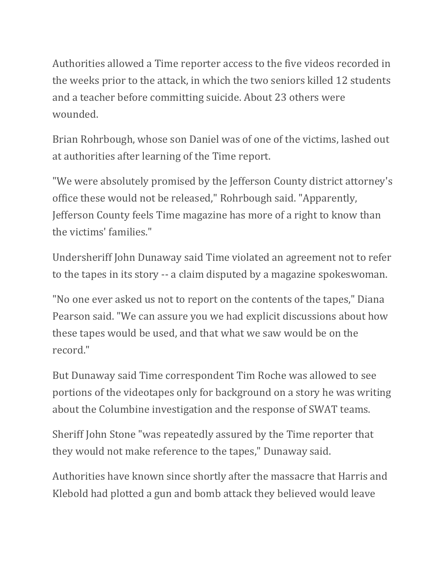Authorities allowed a Time reporter access to the five videos recorded in the weeks prior to the attack, in which the two seniors killed 12 students and a teacher before committing suicide. About 23 others were wounded.

Brian Rohrbough, whose son Daniel was of one of the victims, lashed out at authorities after learning of the Time report.

"We were absolutely promised by the Jefferson County district attorney's office these would not be released," Rohrbough said. "Apparently, Jefferson County feels Time magazine has more of a right to know than the victims' families."

Undersheriff John Dunaway said Time violated an agreement not to refer to the tapes in its story -- a claim disputed by a magazine spokeswoman.

"No one ever asked us not to report on the contents of the tapes," Diana Pearson said. "We can assure you we had explicit discussions about how these tapes would be used, and that what we saw would be on the record."

But Dunaway said Time correspondent Tim Roche was allowed to see portions of the videotapes only for background on a story he was writing about the Columbine investigation and the response of SWAT teams.

Sheriff John Stone "was repeatedly assured by the Time reporter that they would not make reference to the tapes," Dunaway said.

Authorities have known since shortly after the massacre that Harris and Klebold had plotted a gun and bomb attack they believed would leave